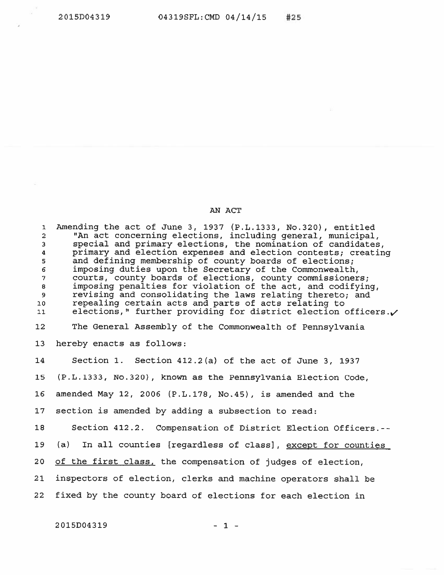## AN ACT

 Amending the act of June 3, 1937 (P.L.1333, No.320), entitled "An act concerning elections, including general, municipal, special and primary elections, the nomination of candidates, primary and election expenses and election contests; creating <sup>s</sup> and defining membership of county boards of elections; <sup>s</sup> imposing duties upon the Secretary of the Commonwealth, courts, county boards of elections, county commissioners; 8 imposing penalties for violation of the act, and codifying, 9 revising and consolidating the laws relating thereto; and io repealing certain acts and parts of acts relating to ii elections," further providing for district election officers. $\checkmark$  The General Assembly of the Commonwealth of Pennsylvania hereby enacts as follows: Section 1. Section 412.2(a) of the act of June 3, 1937 (P.L.1333, No.320), known as the Pennsylvania Election Code, amended May 12, 2006 (P.L.178, No.45), is amended and the section is amended by adding <sup>a</sup> subsection to read: 18 Section 412.2. Compensation of District Election Officers.-- (a) In all counties [regardless of class], except for counties 20 of the first class, the compensation of judges of election, inspectors of election, clerks and machine operators shall be fixed by the county board of elections for each election in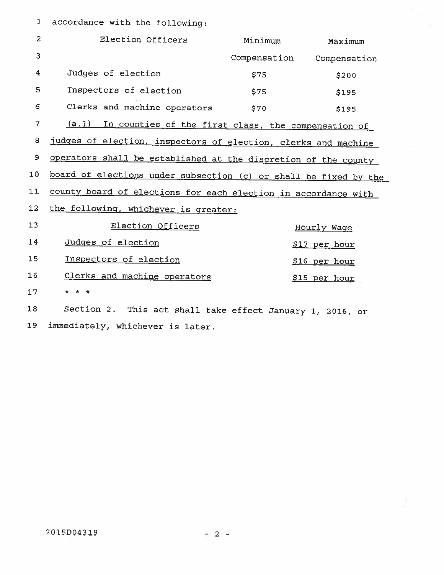1 accordance with the following:

| $\overline{c}$ | Election Officers                                                | Minimum      | Maximum       |
|----------------|------------------------------------------------------------------|--------------|---------------|
| $\overline{3}$ |                                                                  | Compensation | Compensation  |
| 4              | Judges of election                                               | \$75         | \$200         |
| 5              | Inspectors of election                                           | \$75         | \$195         |
| 6              | Clerks and machine operators                                     | \$70         | \$195         |
| 7              | (a.1) In counties of the first class, the compensation of        |              |               |
| 8              | judges of election, inspectors of election, clerks and machine   |              |               |
| 9              | operators shall be established at the discretion of the county   |              |               |
| 10             | board of elections under subsection (c) or shall be fixed by the |              |               |
| 11             | county board of elections for each election in accordance with   |              |               |
| 12             | the following, whichever is greater:                             |              |               |
| 13             | Election Officers                                                |              | Hourly Waqe   |
| 14             | Judges of election                                               |              | \$17 per hour |
| 15             | Inspectors of election                                           |              | \$16 per hour |
| 16             | Clerks and machine operators                                     |              | \$15 per hour |
| 17             | * * *                                                            |              |               |
| 18             | Section 2. This act shall take effect January 1, 2016, or        |              |               |

19 immediately, whichever is later.